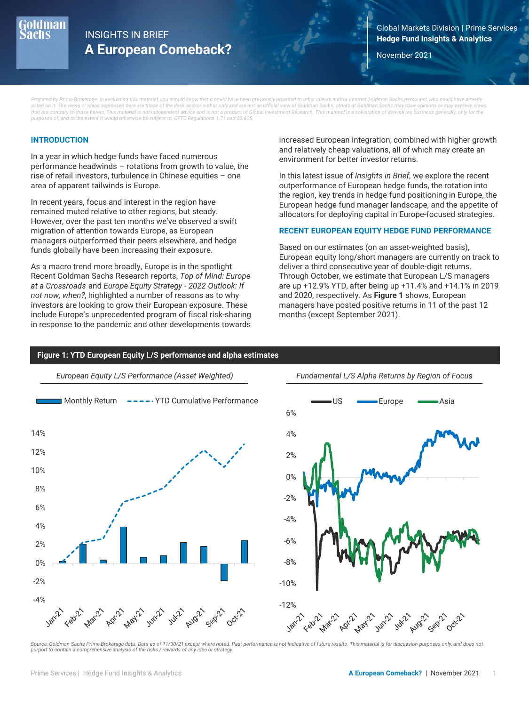

## **Hedge Fund Insights & Analytics** INSIGHTS IN BRIEF **A European Comeback?** November 2021

Global Markets Division | Prime Services

*Prepared by Prime Brokerage. In evaluating this material, you should know that it could have been previously provided to other clients and/or internal Goldman Sachs personnel, who could have already acted on it. The views or ideas expressed here are those of the desk and/or author only and are not an official view of Goldman Sachs; others at Goldman Sachs may have opinions or may express views that are contrary to those herein. This material is not independent advice and is not a product of Global Investment Research. This material is a solicitation of derivatives business generally, only for the purposes of, and to the extent it would otherwise be subject to, CFTC Regulations 1.71 and 23.605.*

### **INTRODUCTION**

In a year in which hedge funds have faced numerous performance headwinds – rotations from growth to value, the rise of retail investors, turbulence in Chinese equities – one area of apparent tailwinds is Europe.

In recent years, focus and interest in the region have remained muted relative to other regions, but steady. However, over the past ten months we've observed a swift migration of attention towards Europe, as European managers outperformed their peers elsewhere, and hedge funds globally have been increasing their exposure.

As a macro trend more broadly, Europe is in the spotlight. Recent Goldman Sachs Research reports, *Top of Mind: Europe at a Crossroads* and *Europe Equity Strategy - 2022 Outlook: If not now, when?*, highlighted a number of reasons as to why investors are looking to grow their European exposure. These include Europe's unprecedented program of fiscal risk-sharing in response to the pandemic and other developments towards increased European integration, combined with higher growth and relatively cheap valuations, all of which may create an environment for better investor returns.

In this latest issue of *Insights in Brief*, we explore the recent outperformance of European hedge funds, the rotation into the region, key trends in hedge fund positioning in Europe, the European hedge fund manager landscape, and the appetite of allocators for deploying capital in Europe-focused strategies.

#### **RECENT EUROPEAN EQUITY HEDGE FUND PERFORMANCE**

Based on our estimates (on an asset-weighted basis), European equity long/short managers are currently on track to deliver a third consecutive year of double-digit returns. Through October, we estimate that European L/S managers are up +12.9% YTD, after being up +11.4% and +14.1% in 2019 and 2020, respectively. As **Figure 1** shows, European managers have posted positive returns in 11 of the past 12 months (except September 2021).

#### **Figure 1: YTD European Equity L/S performance and alpha estimates**



Source: Goldman Sachs Prime Brokerage data. Data as of 11/30/21 except where noted. Past performance is not indicative of future results. This material is for discussion purposes only, and does not *purport to contain a comprehensive analysis of the risks / rewards of any idea or strategy.*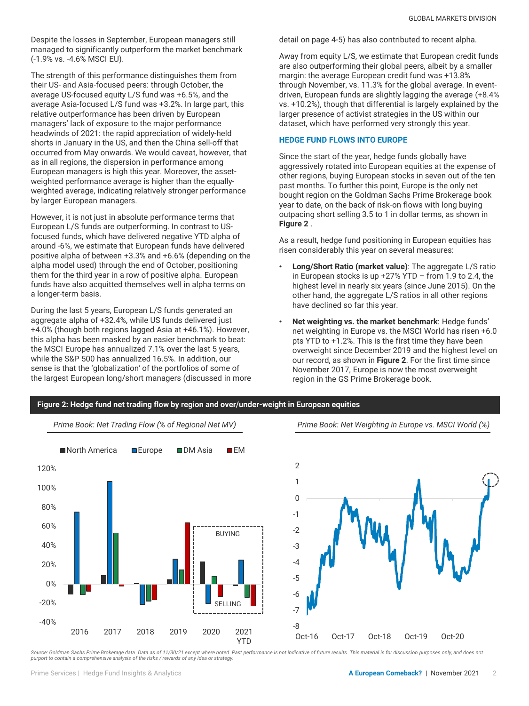Despite the losses in September, European managers still managed to significantly outperform the market benchmark (-1.9% vs. -4.6% MSCI EU).

The strength of this performance distinguishes them from their US- and Asia-focused peers: through October, the average US-focused equity L/S fund was +6.5%, and the average Asia-focused L/S fund was +3.2%. In large part, this relative outperformance has been driven by European managers' lack of exposure to the major performance headwinds of 2021: the rapid appreciation of widely-held shorts in January in the US, and then the China sell-off that occurred from May onwards. We would caveat, however, that as in all regions, the dispersion in performance among European managers is high this year. Moreover, the assetweighted performance average is higher than the equallyweighted average, indicating relatively stronger performance by larger European managers.

However, it is not just in absolute performance terms that European L/S funds are outperforming. In contrast to USfocused funds, which have delivered negative YTD alpha of around -6%, we estimate that European funds have delivered positive alpha of between +3.3% and +6.6% (depending on the alpha model used) through the end of October, positioning them for the third year in a row of positive alpha. European funds have also acquitted themselves well in alpha terms on a longer-term basis.

During the last 5 years, European L/S funds generated an aggregate alpha of +32.4%, while US funds delivered just +4.0% (though both regions lagged Asia at +46.1%). However, this alpha has been masked by an easier benchmark to beat: the MSCI Europe has annualized 7.1% over the last 5 years, while the S&P 500 has annualized 16.5%. In addition, our sense is that the 'globalization' of the portfolios of some of the largest European long/short managers (discussed in more detail on page 4-5) has also contributed to recent alpha.

Away from equity L/S, we estimate that European credit funds are also outperforming their global peers, albeit by a smaller margin: the average European credit fund was +13.8% through November, vs. 11.3% for the global average. In eventdriven, European funds are slightly lagging the average (+8.4% vs. +10.2%), though that differential is largely explained by the larger presence of activist strategies in the US within our dataset, which have performed very strongly this year.

#### **HEDGE FUND FLOWS INTO EUROPE**

Since the start of the year, hedge funds globally have aggressively rotated into European equities at the expense of other regions, buying European stocks in seven out of the ten past months. To further this point, Europe is the only net bought region on the Goldman Sachs Prime Brokerage book year to date, on the back of risk-on flows with long buying outpacing short selling 3.5 to 1 in dollar terms, as shown in **Figure 2** .

As a result, hedge fund positioning in European equities has risen considerably this year on several measures:

- **Long/Short Ratio (market value)**: The aggregate L/S ratio in European stocks is up  $+27\%$  YTD – from 1.9 to 2.4, the highest level in nearly six years (since June 2015). On the other hand, the aggregate L/S ratios in all other regions have declined so far this year.
- **Net weighting vs. the market benchmark**: Hedge funds' net weighting in Europe vs. the MSCI World has risen +6.0 pts YTD to +1.2%. This is the first time they have been overweight since December 2019 and the highest level on our record, as shown in **Figure 2**. For the first time since November 2017, Europe is now the most overweight region in the GS Prime Brokerage book.



Source: Goldman Sachs Prime Brokerage data. Data as of 11/30/21 except where noted. Past performance is not indicative of future results. This material is for discussion purposes only, and does not<br>purport to contain a com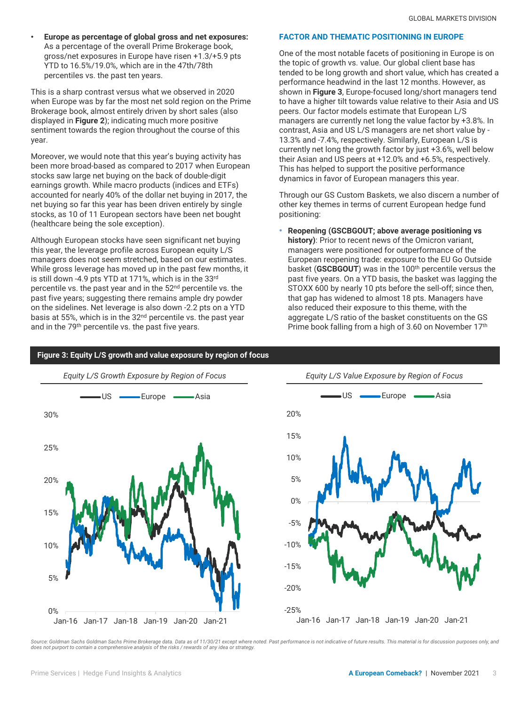• **Europe as percentage of global gross and net exposures:**  As a percentage of the overall Prime Brokerage book, gross/net exposures in Europe have risen +1.3/+5.9 pts YTD to 16.5%/19.0%, which are in the 47th/78th percentiles vs. the past ten years.

This is a sharp contrast versus what we observed in 2020 when Europe was by far the most net sold region on the Prime Brokerage book, almost entirely driven by short sales (also displayed in **Figure 2**); indicating much more positive sentiment towards the region throughout the course of this year.

Moreover, we would note that this year's buying activity has been more broad-based as compared to 2017 when European stocks saw large net buying on the back of double-digit earnings growth. While macro products (indices and ETFs) accounted for nearly 40% of the dollar net buying in 2017, the net buying so far this year has been driven entirely by single stocks, as 10 of 11 European sectors have been net bought (healthcare being the sole exception).

Although European stocks have seen significant net buying this year, the leverage profile across European equity L/S managers does not seem stretched, based on our estimates. While gross leverage has moved up in the past few months, it is still down -4.9 pts YTD at 171%, which is in the 33rd percentile vs. the past year and in the 52nd percentile vs. the past five years; suggesting there remains ample dry powder on the sidelines. Net leverage is also down -2.2 pts on a YTD basis at 55%, which is in the 32nd percentile vs. the past year and in the 79th percentile vs. the past five years.

#### **FACTOR AND THEMATIC POSITIONING IN EUROPE**

One of the most notable facets of positioning in Europe is on the topic of growth vs. value. Our global client base has tended to be long growth and short value, which has created a performance headwind in the last 12 months. However, as shown in **Figure 3**, Europe-focused long/short managers tend to have a higher tilt towards value relative to their Asia and US peers. Our factor models estimate that European L/S managers are currently net long the value factor by +3.8%. In contrast, Asia and US L/S managers are net short value by - 13.3% and -7.4%, respectively. Similarly, European L/S is currently net long the growth factor by just +3.6%, well below their Asian and US peers at +12.0% and +6.5%, respectively. This has helped to support the positive performance dynamics in favor of European managers this year.

Through our GS Custom Baskets, we also discern a number of other key themes in terms of current European hedge fund positioning:

• **Reopening (GSCBGOUT; above average positioning vs history)**: Prior to recent news of the Omicron variant, managers were positioned for outperformance of the European reopening trade: exposure to the EU Go Outside basket (GSCBGOUT) was in the 100<sup>th</sup> percentile versus the past five years. On a YTD basis, the basket was lagging the STOXX 600 by nearly 10 pts before the sell-off; since then, that gap has widened to almost 18 pts. Managers have also reduced their exposure to this theme, with the aggregate L/S ratio of the basket constituents on the GS Prime book falling from a high of 3.60 on November 17th



**Figure 3: Equity L/S growth and value exposure by region of focus**

Source: Goldman Sachs Goldman Sachs Prime Brokerage data. Data as of 11/30/21 except where noted. Past performance is not indicative of future results. This material is for discussion purposes only, and<br>does not purport to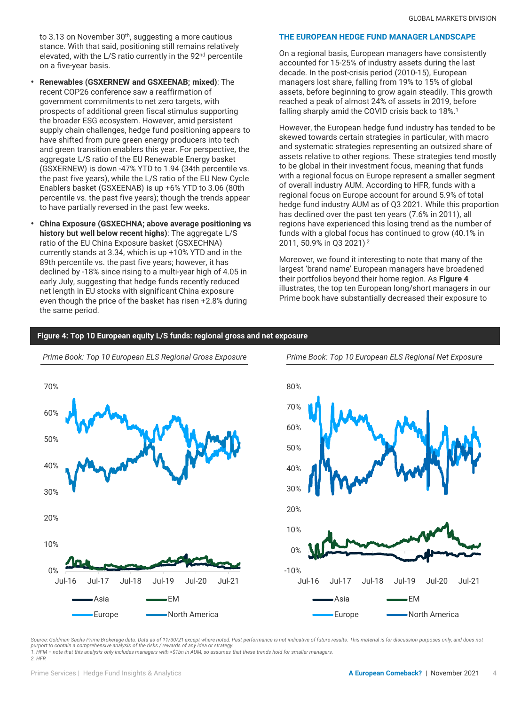to 3.13 on November 30<sup>th</sup>, suggesting a more cautious stance. With that said, positioning still remains relatively elevated, with the L/S ratio currently in the 92<sup>nd</sup> percentile on a five-year basis.

- **Renewables (GSXERNEW and GSXEENAB; mixed)**: The recent COP26 conference saw a reaffirmation of government commitments to net zero targets, with prospects of additional green fiscal stimulus supporting the broader ESG ecosystem. However, amid persistent supply chain challenges, hedge fund positioning appears to have shifted from pure green energy producers into tech and green transition enablers this year. For perspective, the aggregate L/S ratio of the EU Renewable Energy basket (GSXERNEW) is down -47% YTD to 1.94 (34th percentile vs. the past five years), while the L/S ratio of the EU New Cycle Enablers basket (GSXEENAB) is up +6% YTD to 3.06 (80th percentile vs. the past five years); though the trends appear to have partially reversed in the past few weeks.
- **China Exposure (GSXECHNA; above average positioning vs history but well below recent highs)**: The aggregate L/S ratio of the EU China Exposure basket (GSXECHNA) currently stands at 3.34, which is up +10% YTD and in the 89th percentile vs. the past five years; however, it has declined by -18% since rising to a multi-year high of 4.05 in early July, suggesting that hedge funds recently reduced net length in EU stocks with significant China exposure even though the price of the basket has risen +2.8% during the same period.

### **THE EUROPEAN HEDGE FUND MANAGER LANDSCAPE**

On a regional basis, European managers have consistently accounted for 15-25% of industry assets during the last decade. In the post-crisis period (2010-15), European managers lost share, falling from 19% to 15% of global assets, before beginning to grow again steadily. This growth reached a peak of almost 24% of assets in 2019, before falling sharply amid the COVID crisis back to 18%.<sup>1</sup>

However, the European hedge fund industry has tended to be skewed towards certain strategies in particular, with macro and systematic strategies representing an outsized share of assets relative to other regions. These strategies tend mostly to be global in their investment focus, meaning that funds with a regional focus on Europe represent a smaller segment of overall industry AUM. According to HFR, funds with a regional focus on Europe account for around 5.9% of total hedge fund industry AUM as of Q3 2021. While this proportion has declined over the past ten years (7.6% in 2011), all regions have experienced this losing trend as the number of funds with a global focus has continued to grow (40.1% in 2011, 50.9% in Q3 2021).2

Moreover, we found it interesting to note that many of the largest 'brand name' European managers have broadened their portfolios beyond their home region. As **Figure 4**  illustrates, the top ten European long/short managers in our Prime book have substantially decreased their exposure to

#### **Figure 4: Top 10 European equity L/S funds: regional gross and net exposure**



*Prime Book: Top 10 European ELS Regional Gross Exposure Prime Book: Top 10 European ELS Regional Net Exposure*



Source: Goldman Sachs Prime Brokerage data. Data as of 11/30/21 except where noted. Past performance is not indicative of future results. This material is for discussion purposes only, and does not *purport to contain a comprehensive analysis of the risks / rewards of any idea or strategy. 1. HFM – note that this analysis only includes managers with >\$1bn in AUM, so assumes that these trends hold for smaller managers.*

*2. HFR*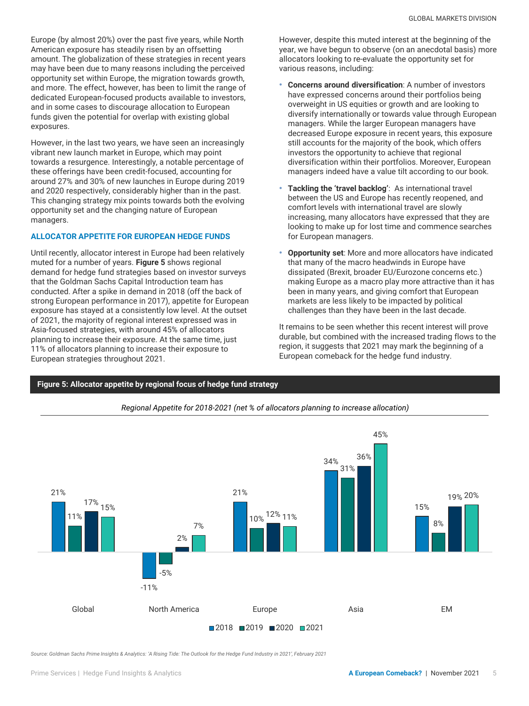Europe (by almost 20%) over the past five years, while North American exposure has steadily risen by an offsetting amount. The globalization of these strategies in recent years may have been due to many reasons including the perceived opportunity set within Europe, the migration towards growth, and more. The effect, however, has been to limit the range of dedicated European-focused products available to investors, and in some cases to discourage allocation to European funds given the potential for overlap with existing global exposures.

However, in the last two years, we have seen an increasingly vibrant new launch market in Europe, which may point towards a resurgence. Interestingly, a notable percentage of these offerings have been credit-focused, accounting for around 27% and 30% of new launches in Europe during 2019 and 2020 respectively, considerably higher than in the past. This changing strategy mix points towards both the evolving opportunity set and the changing nature of European managers.

### **ALLOCATOR APPETITE FOR EUROPEAN HEDGE FUNDS**

Until recently, allocator interest in Europe had been relatively muted for a number of years. **Figure 5** shows regional demand for hedge fund strategies based on investor surveys that the Goldman Sachs Capital Introduction team has conducted. After a spike in demand in 2018 (off the back of strong European performance in 2017), appetite for European exposure has stayed at a consistently low level. At the outset of 2021, the majority of regional interest expressed was in Asia-focused strategies, with around 45% of allocators planning to increase their exposure. At the same time, just 11% of allocators planning to increase their exposure to European strategies throughout 2021.

However, despite this muted interest at the beginning of the year, we have begun to observe (on an anecdotal basis) more allocators looking to re-evaluate the opportunity set for various reasons, including:

- **Concerns around diversification**: A number of investors have expressed concerns around their portfolios being overweight in US equities or growth and are looking to diversify internationally or towards value through European managers. While the larger European managers have decreased Europe exposure in recent years, this exposure still accounts for the majority of the book, which offers investors the opportunity to achieve that regional diversification within their portfolios. Moreover, European managers indeed have a value tilt according to our book.
- **Tackling the 'travel backlog'**: As international travel between the US and Europe has recently reopened, and comfort levels with international travel are slowly increasing, many allocators have expressed that they are looking to make up for lost time and commence searches for European managers.
- **Opportunity set**: More and more allocators have indicated that many of the macro headwinds in Europe have dissipated (Brexit, broader EU/Eurozone concerns etc.) making Europe as a macro play more attractive than it has been in many years, and giving comfort that European markets are less likely to be impacted by political challenges than they have been in the last decade.

It remains to be seen whether this recent interest will prove durable, but combined with the increased trading flows to the region, it suggests that 2021 may mark the beginning of a European comeback for the hedge fund industry.





*Regional Appetite for 2018-2021 (net % of allocators planning to increase allocation)*

*Source: Goldman Sachs Prime Insights & Analytics: 'A Rising Tide: The Outlook for the Hedge Fund Industry in 2021', February 2021*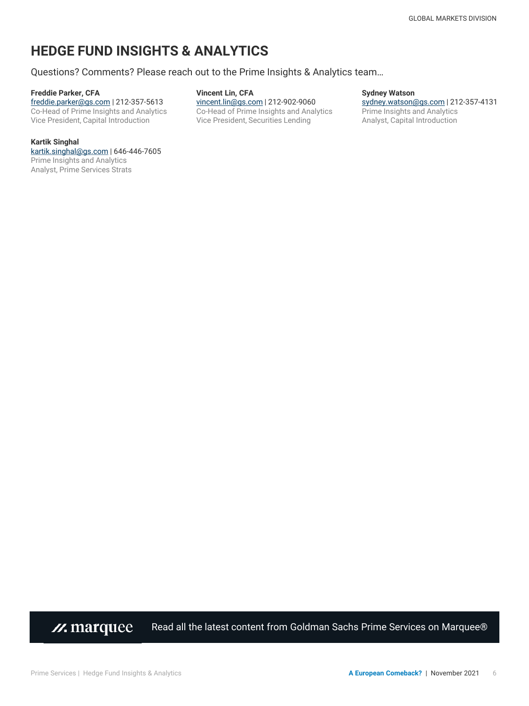# **HEDGE FUND INSIGHTS & ANALYTICS**

Questions? Comments? Please reach out to the Prime Insights & Analytics team…

#### **Freddie Parker, CFA**

[freddie.parker@gs.com](mailto:freddie.parker@gs.com) | 212-357-5613 Co-Head of Prime Insights and Analytics Vice President, Capital Introduction

#### **Vincent Lin, CFA** [vincent.lin@gs.com](mailto:vincent.lin@gs.com) | 212-902-9060 Co-Head of Prime Insights and Analytics Vice President, Securities Lending

#### **Sydney Watson** [sydney.watson@gs.com](mailto:Sydney.Watson@gs.com) | 212-357-4131 Prime Insights and Analytics Analyst, Capital Introduction

#### **Kartik Singhal**

[kartik.singhal@gs.com](mailto:kartik.singhal@gs.com) | 646-446-7605 Prime Insights and Analytics Analyst, Prime Services Strats

> [Read all the latest content from Goldman Sachs Prime Services on Marquee®](https://marquee.gs.com/content/prime/prime-services.html) *//.* marquee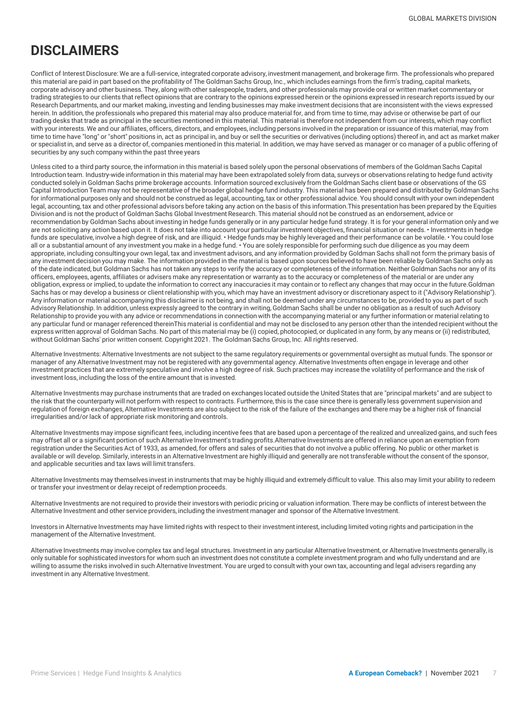## **DISCLAIMERS**

Conflict of Interest Disclosure: We are a full-service, integrated corporate advisory, investment management, and brokerage firm. The professionals who prepared this material are paid in part based on the profitability of The Goldman Sachs Group, Inc., which includes earnings from the firm's trading, capital markets, corporate advisory and other business. They, along with other salespeople, traders, and other professionals may provide oral or written market commentary or trading strategies to our clients that reflect opinions that are contrary to the opinions expressed herein or the opinions expressed in research reports issued by our Research Departments, and our market making, investing and lending businesses may make investment decisions that are inconsistent with the views expressed herein. In addition, the professionals who prepared this material may also produce material for, and from time to time, may advise or otherwise be part of our trading desks that trade as principal in the securities mentioned in this material. This material is therefore not independent from our interests, which may conflict with your interests. We and our affiliates, officers, directors, and employees, including persons involved in the preparation or issuance of this material, may from time to time have "long" or "short" positions in, act as principal in, and buy or sell the securities or derivatives (including options) thereof in, and act as market maker or specialist in, and serve as a director of, companies mentioned in this material. In addition, we may have served as manager or co manager of a public offering of securities by any such company within the past three years

Unless cited to a third party source, the information in this material is based solely upon the personal observations of members of the Goldman Sachs Capital Introduction team. Industry-wide information in this material may have been extrapolated solely from data, surveys or observations relating to hedge fund activity conducted solely in Goldman Sachs prime brokerage accounts. Information sourced exclusively from the Goldman Sachs client base or observations of the GS Capital Introduction Team may not be representative of the broader global hedge fund industry. This material has been prepared and distributed by Goldman Sachs for informational purposes only and should not be construed as legal, accounting, tax or other professional advice. You should consult with your own independent legal, accounting, tax and other professional advisors before taking any action on the basis of this information.This presentation has been prepared by the Equities Division and is not the product of Goldman Sachs Global Investment Research. This material should not be construed as an endorsement, advice or recommendation by Goldman Sachs about investing in hedge funds generally or in any particular hedge fund strategy. It is for your general information only and we are not soliciting any action based upon it. It does not take into account your particular investment objectives, financial situation or needs. • Investments in hedge funds are speculative, involve a high degree of risk, and are illiquid. • Hedge funds may be highly leveraged and their performance can be volatile. • You could lose all or a substantial amount of any investment you make in a hedge fund. • You are solely responsible for performing such due diligence as you may deem appropriate, including consulting your own legal, tax and investment advisors, and any information provided by Goldman Sachs shall not form the primary basis of any investment decision you may make. The information provided in the material is based upon sources believed to have been reliable by Goldman Sachs only as of the date indicated, but Goldman Sachs has not taken any steps to verify the accuracy or completeness of the information. Neither Goldman Sachs nor any of its officers, employees, agents, affiliates or advisers make any representation or warranty as to the accuracy or completeness of the material or are under any obligation, express or implied, to update the information to correct any inaccuracies it may contain or to reflect any changes that may occur in the future.Goldman Sachs has or may develop a business or client relationship with you, which may have an investment advisory or discretionary aspect to it ("Advisory Relationship"). Any information or material accompanying this disclaimer is not being, and shall not be deemed under any circumstances to be, provided to you as part of such Advisory Relationship. In addition, unless expressly agreed to the contrary in writing, Goldman Sachs shall be under no obligation as a result of such Advisory Relationship to provide you with any advice or recommendations in connection with the accompanying material or any further information or material relating to any particular fund or manager referenced thereinThis material is confidential and may not be disclosed to any person other than the intended recipient without the express written approval of Goldman Sachs. No part of this material may be (i) copied, photocopied, or duplicated in any form, by any means or (ii) redistributed, without Goldman Sachs' prior written consent. Copyright 2021. The Goldman Sachs Group, Inc. All rights reserved.

Alternative Investments: Alternative Investments are not subject to the same regulatory requirements or governmental oversight as mutual funds. The sponsor or manager of any Alternative Investment may not be registered with any governmental agency. Alternative Investments often engage in leverage and other investment practices that are extremely speculative and involve a high degree of risk. Such practices may increase the volatility of performance and the risk of investment loss, including the loss of the entire amount that is invested.

Alternative Investments may purchase instruments that are traded on exchanges located outside the United States that are "principal markets" and are subject to the risk that the counterparty will not perform with respect to contracts. Furthermore, this is the case since there is generally less government supervision and regulation of foreign exchanges, Alternative Investments are also subject to the risk of the failure of the exchanges and there may be a higher risk of financial irregularities and/or lack of appropriate risk monitoring and controls.

Alternative Investments may impose significant fees, including incentive fees that are based upon a percentage of the realized and unrealized gains, and such fees may offset all or a significant portion of such Alternative Investment's trading profits.Alternative Investments are offered in reliance upon an exemption from registration under the Securities Act of 1933, as amended, for offers and sales of securities that do not involve a public offering. No public or other market is available or will develop. Similarly, interests in an Alternative Investment are highly illiquid and generally are not transferable without the consent of the sponsor, and applicable securities and tax laws will limit transfers.

Alternative Investments may themselves invest in instruments that may be highly illiquid and extremely difficult to value. This also may limit your ability to redeem or transfer your investment or delay receipt of redemption proceeds.

Alternative Investments are not required to provide their investors with periodic pricing or valuation information. There may be conflicts of interest between the Alternative Investment and other service providers, including the investment manager and sponsor of the Alternative Investment.

Investors in Alternative Investments may have limited rights with respect to their investment interest, including limited voting rights and participation in the management of the Alternative Investment.

Alternative Investments may involve complex tax and legal structures. Investment in any particular Alternative Investment, or Alternative Investments generally, is only suitable for sophisticated investors for whom such an investment does not constitute a complete investment program and who fully understand and are willing to assume the risks involved in such Alternative Investment. You are urged to consult with your own tax, accounting and legal advisers regarding any investment in any Alternative Investment.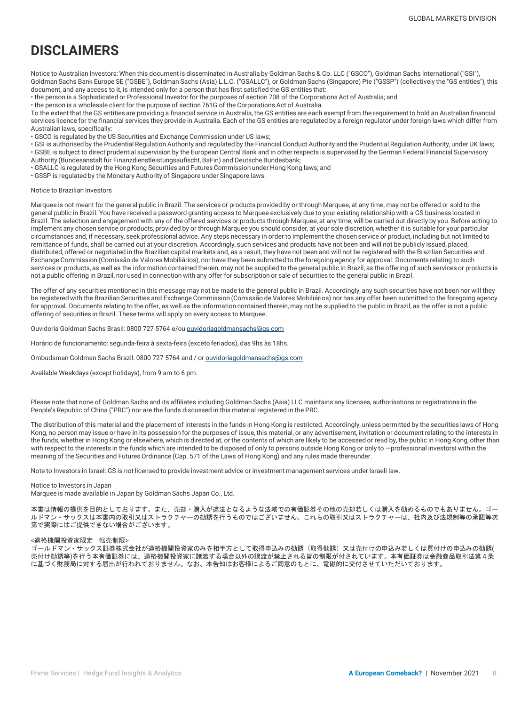# **DISCLAIMERS**

Notice to Australian Investors: When this document is disseminated in Australia by Goldman Sachs & Co. LLC ("GSCO"), Goldman Sachs International ("GSI"), Goldman Sachs Bank Europe SE ("GSBE"), Goldman Sachs (Asia) L.L.C. ("GSALLC"), or Goldman Sachs (Singapore) Pte ("GSSP") (collectively the "GS entities"), this document, and any access to it, is intended only for a person that has first satisfied the GS entities that:

• the person is a Sophisticated or Professional Investor for the purposes of section 708 of the Corporations Act of Australia; and

• the person is a wholesale client for the purpose of section 761G of the Corporations Act of Australia.

To the extent that the GS entities are providing a financial service in Australia, the GS entities are each exempt from the requirement to hold an Australian financial services licence for the financial services they provide in Australia. Each of the GS entities are regulated by a foreign regulator under foreign laws which differ from Australian laws, specifically:

• GSCO is regulated by the US Securities and Exchange Commission under US laws;

• GSI is authorised by the Prudential Regulation Authority and regulated by the Financial Conduct Authority and the Prudential Regulation Authority, under UK laws; • GSBE is subject to direct prudential supervision by the European Central Bank and in other respects is supervised by the German Federal Financial Supervisory

Authority (Bundesanstalt für Finanzdienstleistungsaufischt, BaFin) and Deutsche Bundesbank;

• GSALLC is regulated by the Hong Kong Securities and Futures Commission under Hong Kong laws; and

• GSSP is regulated by the Monetary Authority of Singapore under Singapore laws.

#### Notice to Brazilian Investors

Marquee is not meant for the general public in Brazil. The services or products provided by or through Marquee, at any time, may not be offered or sold to the general public in Brazil. You have received a password granting access to Marquee exclusively due to your existing relationship with a GS business located in Brazil. The selection and engagement with any of the offered services or products through Marquee, at any time, will be carried out directly by you. Before acting to implement any chosen service or products, provided by or through Marquee you should consider, at your sole discretion, whether it is suitable for your particular circumstances and, if necessary, seek professional advice. Any steps necessary in order to implement the chosen service or product, including but not limited to remittance of funds, shall be carried out at your discretion. Accordingly, such services and products have not been and will not be publicly issued, placed, distributed, offered or negotiated in the Brazilian capital markets and, as a result, they have not been and will not be registered with the Brazilian Securities and Exchange Commission (Comissão de Valores Mobiliários), nor have they been submitted to the foregoing agency for approval. Documents relating to such services or products, as well as the information contained therein, may not be supplied to the general public in Brazil, as the offering of such services or products is not a public offering in Brazil, nor used in connection with any offer for subscription or sale of securities to the general public in Brazil.

The offer of any securities mentioned in this message may not be made to the general public in Brazil. Accordingly, any such securities have not been nor will they be registered with the Brazilian Securities and Exchange Commission (Comissão de Valores Mobiliários) nor has any offer been submitted to the foregoing agency for approval. Documents relating to the offer, as well as the information contained therein, may not be supplied to the public in Brazil, as the offer is not a public offering of securities in Brazil. These terms will apply on every access to Marquee.

Ouvidoria Goldman Sachs Brasil: 0800 727 5764 e/ou [ouvidoriagoldmansachs@gs.com](mailto:ouvidoriagoldmansachs@gs.com)

Horário de funcionamento: segunda-feira à sexta-feira (exceto feriados), das 9hs às 18hs.

Ombudsman Goldman Sachs Brazil: 0800 727 5764 and / or [ouvidoriagoldmansachs@gs.com](mailto:ouvidoriagoldmansachs@gs.com)

Available Weekdays (except holidays), from 9 am to 6 pm.

Please note that none of Goldman Sachs and its affiliates including Goldman Sachs (Asia) LLC maintains any licenses, authorisations or registrations in the People's Republic of China ("PRC") nor are the funds discussed in this material registered in the PRC.

The distribution of this material and the placement of interests in the funds in Hong Kong is restricted. Accordingly, unless permitted by the securities laws of Hong Kong, no person may issue or have in its possession for the purposes of issue, this material, or any advertisement, invitation or document relating to the interests in the funds, whether in Hong Kong or elsewhere, which is directed at, or the contents of which are likely to be accessed or read by, the public in Hong Kong, other than with respect to the interests in the funds which are intended to be disposed of only to persons outside Hong Kong or only to -professional investorsI within the meaning of the Securities and Futures Ordinance (Cap. 571 of the Laws of Hong Kong) and any rules made thereunder.

Note to Investors in Israel: GS is not licensed to provide investment advice or investment management services under Israeli law.

#### Notice to Investors in Japan

Marquee is made available in Japan by Goldman Sachs Japan Co., Ltd.

本書は情報の提供を目的としております。また、売却・購入が違法となるような法域での有価証券その他の売却若しくは購入を勧めるものでもありません。ゴー ルドマン・サックスは本書内の取引又はストラクチャーの勧誘を行うものではございません。これらの取引又はストラクチャーは、社内及び法規制等の承認等次 第で実際にはご提供できない場合がございます。

#### <適格機関投資家限定 転売制限>

ゴールドマン・サックス証券株式会社が適格機関投資家のみを相手方として取得申込みの勧誘(取得勧誘)又は売付けの申込み若しくは買付けの申込みの勧誘( 売付け勧誘等)を行う本有価証券には、適格機関投資家に譲渡する場合以外の譲渡が禁止される旨の制限が付されています。本有価証券は金融商品取引法第4条 に基づく財務局に対する届出が行われておりません。なお、本告知はお客様によるご同意のもとに、電磁的に交付させていただいております。